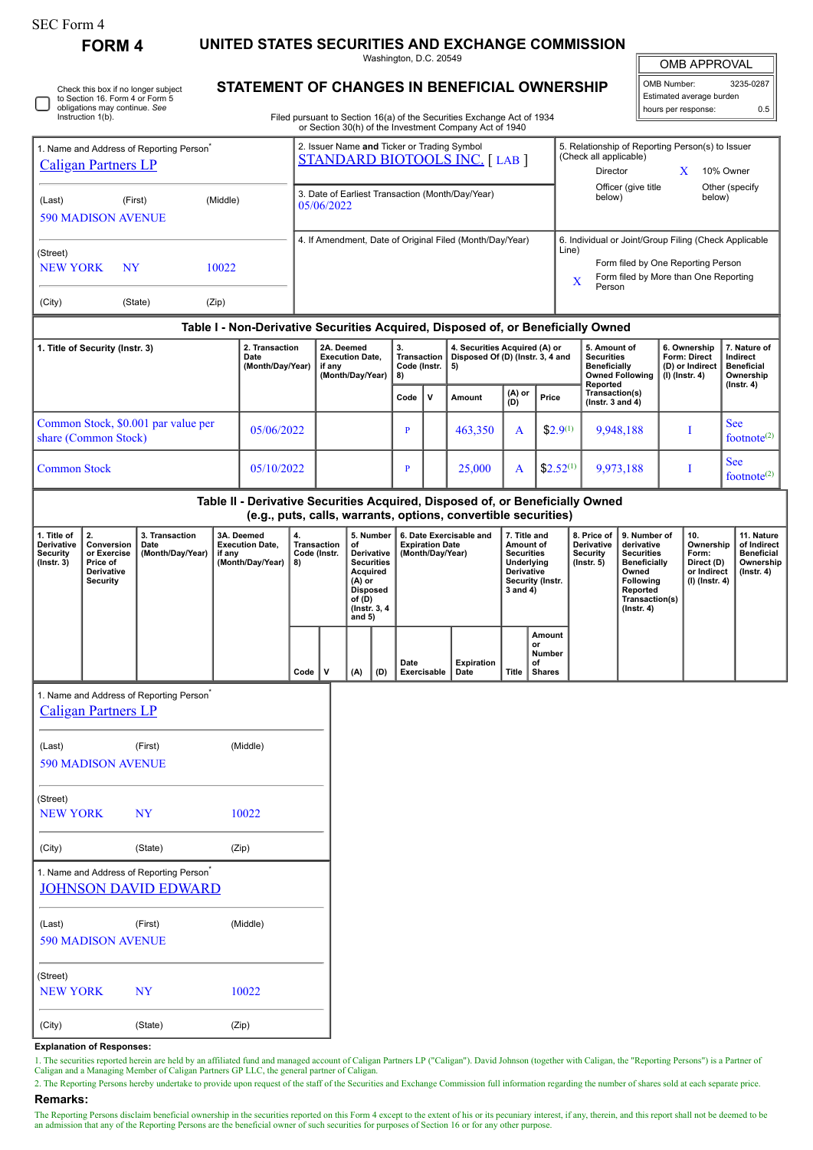| SEC Form 4 |
|------------|
|------------|

Check this box if no longer subject to Section 16. Form 4 or Form 5 obligations may continue. *See* Instruction 1(b).

**FORM 4 UNITED STATES SECURITIES AND EXCHANGE COMMISSION**

Washington, D.C. 20549 **STATEMENT OF CHANGES IN BENEFICIAL OWNERSHIP**

OMB APPROVAL

 $\mathbb I$ 

| OMB Number:              | 3235-0287 |  |  |  |  |  |  |  |  |
|--------------------------|-----------|--|--|--|--|--|--|--|--|
| Estimated average burden |           |  |  |  |  |  |  |  |  |
| hours per response:      | ሰ 5       |  |  |  |  |  |  |  |  |

Filed pursuant to Section 16(a) of the Securities Exchange Act of 1934

|                                                                                                                                     |                            |                                                                                     |        |                                                          |                  |                                                                                     |     |                                                                                                                                    |                                                                       |                           | or Section 30(h) of the Investment Company Act of 1940                                                                                          |                                                                                                                   |                                                                      |                                                            |                                                                                                                                                              |                                                                                                                                                |                                                                          |                                                                          |                                                                                 |  |  |  |
|-------------------------------------------------------------------------------------------------------------------------------------|----------------------------|-------------------------------------------------------------------------------------|--------|----------------------------------------------------------|------------------|-------------------------------------------------------------------------------------|-----|------------------------------------------------------------------------------------------------------------------------------------|-----------------------------------------------------------------------|---------------------------|-------------------------------------------------------------------------------------------------------------------------------------------------|-------------------------------------------------------------------------------------------------------------------|----------------------------------------------------------------------|------------------------------------------------------------|--------------------------------------------------------------------------------------------------------------------------------------------------------------|------------------------------------------------------------------------------------------------------------------------------------------------|--------------------------------------------------------------------------|--------------------------------------------------------------------------|---------------------------------------------------------------------------------|--|--|--|
| 1. Name and Address of Reporting Person <sup>7</sup><br><b>Caligan Partners LP</b>                                                  |                            |                                                                                     |        |                                                          |                  | 2. Issuer Name and Ticker or Trading Symbol<br><b>STANDARD BIOTOOLS INC. [LAB ]</b> |     |                                                                                                                                    |                                                                       |                           |                                                                                                                                                 |                                                                                                                   |                                                                      |                                                            | 5. Relationship of Reporting Person(s) to Issuer<br>(Check all applicable)<br>10% Owner<br>Director<br>X                                                     |                                                                                                                                                |                                                                          |                                                                          |                                                                                 |  |  |  |
| (Last)                                                                                                                              |                            | (First)<br>(Middle)<br><b>590 MADISON AVENUE</b>                                    |        |                                                          |                  | 3. Date of Earliest Transaction (Month/Day/Year)<br>05/06/2022                      |     |                                                                                                                                    |                                                                       |                           |                                                                                                                                                 |                                                                                                                   |                                                                      |                                                            | Officer (give title<br>Other (specify<br>below)<br>below)                                                                                                    |                                                                                                                                                |                                                                          |                                                                          |                                                                                 |  |  |  |
| (Street)<br>10022<br><b>NEW YORK</b><br>NY                                                                                          |                            |                                                                                     |        |                                                          |                  | 4. If Amendment, Date of Original Filed (Month/Day/Year)                            |     |                                                                                                                                    |                                                                       |                           |                                                                                                                                                 |                                                                                                                   |                                                                      |                                                            | 6. Individual or Joint/Group Filing (Check Applicable<br>Line)<br>Form filed by One Reporting Person<br>Form filed by More than One Reporting<br>X<br>Person |                                                                                                                                                |                                                                          |                                                                          |                                                                                 |  |  |  |
| (City)<br>(State)<br>(Zip)                                                                                                          |                            |                                                                                     |        |                                                          |                  |                                                                                     |     |                                                                                                                                    |                                                                       |                           |                                                                                                                                                 |                                                                                                                   |                                                                      |                                                            |                                                                                                                                                              |                                                                                                                                                |                                                                          |                                                                          |                                                                                 |  |  |  |
|                                                                                                                                     |                            |                                                                                     |        |                                                          |                  |                                                                                     |     |                                                                                                                                    |                                                                       |                           | Table I - Non-Derivative Securities Acquired, Disposed of, or Beneficially Owned                                                                |                                                                                                                   |                                                                      |                                                            |                                                                                                                                                              |                                                                                                                                                |                                                                          |                                                                          |                                                                                 |  |  |  |
| 2. Transaction<br>1. Title of Security (Instr. 3)<br>Date<br>(Month/Day/Year)                                                       |                            |                                                                                     |        |                                                          |                  | 2A. Deemed<br><b>Execution Date,</b><br>if any<br>(Month/Day/Year)                  |     | 3.<br><b>Transaction</b><br>Code (Instr.<br>8)                                                                                     |                                                                       | 5)                        | 4. Securities Acquired (A) or<br>Disposed Of (D) (Instr. 3, 4 and                                                                               |                                                                                                                   | 5. Amount of<br><b>Securities</b><br><b>Beneficially</b><br>Reported |                                                            | <b>Owned Following</b>                                                                                                                                       | 6. Ownership<br>Form: Direct<br>(D) or Indirect<br>$(I)$ (Instr. 4)                                                                            |                                                                          | 7. Nature of<br>Indirect<br><b>Beneficial</b><br>Ownership<br>(Instr. 4) |                                                                                 |  |  |  |
|                                                                                                                                     |                            |                                                                                     |        |                                                          |                  |                                                                                     |     |                                                                                                                                    | Code                                                                  | $\mathsf{v}$              | Amount                                                                                                                                          | (A) or<br>(D)                                                                                                     | Price                                                                |                                                            |                                                                                                                                                              | Transaction(s)<br>$($ lnstr. 3 and 4 $)$                                                                                                       |                                                                          |                                                                          |                                                                                 |  |  |  |
| Common Stock, \$0.001 par value per<br>05/06/2022<br>share (Common Stock)                                                           |                            |                                                                                     |        |                                                          |                  |                                                                                     |     |                                                                                                                                    | P                                                                     |                           | 463,350                                                                                                                                         | A                                                                                                                 |                                                                      | $$2.9^{(1)}$                                               |                                                                                                                                                              | 9,948,188                                                                                                                                      |                                                                          | I                                                                        | <b>See</b><br>footnote $(2)$                                                    |  |  |  |
| <b>Common Stock</b><br>05/10/2022                                                                                                   |                            |                                                                                     |        |                                                          |                  |                                                                                     |     | P                                                                                                                                  | 25,000                                                                |                           | A                                                                                                                                               |                                                                                                                   | $$2.52^{(1)}$$                                                       | 9,973,188                                                  |                                                                                                                                                              | $\bf{I}$                                                                                                                                       |                                                                          | <b>See</b><br>footnote <sup>(2)</sup>                                    |                                                                                 |  |  |  |
|                                                                                                                                     |                            |                                                                                     |        |                                                          |                  |                                                                                     |     |                                                                                                                                    |                                                                       |                           | Table II - Derivative Securities Acquired, Disposed of, or Beneficially Owned<br>(e.g., puts, calls, warrants, options, convertible securities) |                                                                                                                   |                                                                      |                                                            |                                                                                                                                                              |                                                                                                                                                |                                                                          |                                                                          |                                                                                 |  |  |  |
| 2.<br>1. Title of<br>Derivative<br>Conversion<br>Security<br>or Exercise<br>(Instr. 3)<br>Price of<br>Derivative<br><b>Security</b> |                            | 3. Transaction<br>Date<br>(Month/Day/Year)                                          | if any | 3A. Deemed<br><b>Execution Date,</b><br>(Month/Day/Year) |                  | 4.<br><b>Transaction</b><br>Code (Instr.<br>8)                                      |     | 5. Number<br>of<br>Derivative<br><b>Securities</b><br>Acquired<br>(A) or<br><b>Disposed</b><br>of (D)<br>(Instr. 3, 4)<br>and $5)$ | 6. Date Exercisable and<br><b>Expiration Date</b><br>(Month/Day/Year) |                           |                                                                                                                                                 | 7. Title and<br>Amount of<br><b>Securities</b><br>Underlying<br><b>Derivative</b><br>Security (Instr.<br>3 and 4) |                                                                      | 8. Price of<br>Derivative<br><b>Security</b><br>(Instr. 5) |                                                                                                                                                              | 9. Number of<br>derivative<br><b>Securities</b><br><b>Beneficially</b><br>Owned<br>Following<br>Reported<br>Transaction(s)<br>$($ Instr. 4 $)$ | 10.<br>Ownership<br>Form:<br>Direct (D)<br>or Indirect<br>(I) (Instr. 4) |                                                                          | 11. Nature<br>of Indirect<br><b>Beneficial</b><br>Ownership<br>$($ lnstr. 4 $)$ |  |  |  |
|                                                                                                                                     |                            |                                                                                     |        |                                                          | v<br>Code<br>(A) |                                                                                     | (D) | Date                                                                                                                               | Exercisable                                                           | <b>Expiration</b><br>Date | Title                                                                                                                                           | Amount<br>or<br>Number<br>of<br><b>Shares</b>                                                                     |                                                                      |                                                            |                                                                                                                                                              |                                                                                                                                                |                                                                          |                                                                          |                                                                                 |  |  |  |
|                                                                                                                                     | <b>Caligan Partners LP</b> | 1. Name and Address of Reporting Person                                             |        |                                                          |                  |                                                                                     |     |                                                                                                                                    |                                                                       |                           |                                                                                                                                                 |                                                                                                                   |                                                                      |                                                            |                                                                                                                                                              |                                                                                                                                                |                                                                          |                                                                          |                                                                                 |  |  |  |
|                                                                                                                                     |                            |                                                                                     |        |                                                          |                  |                                                                                     |     |                                                                                                                                    |                                                                       |                           |                                                                                                                                                 |                                                                                                                   |                                                                      |                                                            |                                                                                                                                                              |                                                                                                                                                |                                                                          |                                                                          |                                                                                 |  |  |  |
| (Last)                                                                                                                              | <b>590 MADISON AVENUE</b>  | (First)                                                                             |        | (Middle)                                                 |                  |                                                                                     |     |                                                                                                                                    |                                                                       |                           |                                                                                                                                                 |                                                                                                                   |                                                                      |                                                            |                                                                                                                                                              |                                                                                                                                                |                                                                          |                                                                          |                                                                                 |  |  |  |
| (Street)<br><b>NEW YORK</b><br><b>NY</b>                                                                                            |                            |                                                                                     | 10022  |                                                          |                  |                                                                                     |     |                                                                                                                                    |                                                                       |                           |                                                                                                                                                 |                                                                                                                   |                                                                      |                                                            |                                                                                                                                                              |                                                                                                                                                |                                                                          |                                                                          |                                                                                 |  |  |  |
| (City)                                                                                                                              |                            | (State)                                                                             | (Zip)  |                                                          |                  |                                                                                     |     |                                                                                                                                    |                                                                       |                           |                                                                                                                                                 |                                                                                                                   |                                                                      |                                                            |                                                                                                                                                              |                                                                                                                                                |                                                                          |                                                                          |                                                                                 |  |  |  |
|                                                                                                                                     |                            | 1. Name and Address of Reporting Person <sup>*</sup><br><b>JOHNSON DAVID EDWARD</b> |        |                                                          |                  |                                                                                     |     |                                                                                                                                    |                                                                       |                           |                                                                                                                                                 |                                                                                                                   |                                                                      |                                                            |                                                                                                                                                              |                                                                                                                                                |                                                                          |                                                                          |                                                                                 |  |  |  |
| (Last)                                                                                                                              | <b>590 MADISON AVENUE</b>  | (First)                                                                             |        | (Middle)                                                 |                  |                                                                                     |     |                                                                                                                                    |                                                                       |                           |                                                                                                                                                 |                                                                                                                   |                                                                      |                                                            |                                                                                                                                                              |                                                                                                                                                |                                                                          |                                                                          |                                                                                 |  |  |  |
| (Street)<br><b>NEW YORK</b>                                                                                                         |                            | <b>NY</b>                                                                           |        | 10022                                                    |                  |                                                                                     |     |                                                                                                                                    |                                                                       |                           |                                                                                                                                                 |                                                                                                                   |                                                                      |                                                            |                                                                                                                                                              |                                                                                                                                                |                                                                          |                                                                          |                                                                                 |  |  |  |

## **Explanation of Responses:**

(City) (State) (Zip)

1. The securities reported herein are held by an affiliated fund and managed account of Caligan Partners LP ("Caligan"). David Johnson (together with Caligan, the "Reporting Persons") is a Partner of Caligan and a Managing

2. The Reporting Persons hereby undertake to provide upon request of the staff of the Securities and Exchange Commission full information regarding the number of shares sold at each separate price. **Remarks:**

The Reporting Persons disclaim beneficial ownership in the securities reported on this Form 4 except to the extent of his or its pecuniary interest, if any, therein, and this report shall not be deemed to be an admission that any of the Reporting Persons are the beneficial owner of such securities for purposes of Section 16 or for any other purpose.